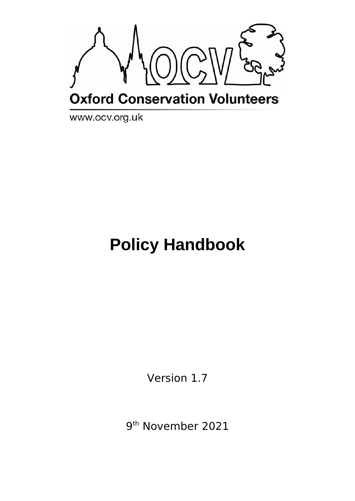

www.ocv.org.uk

# **Policy Handbook**

Version 1.7

9 th November 2021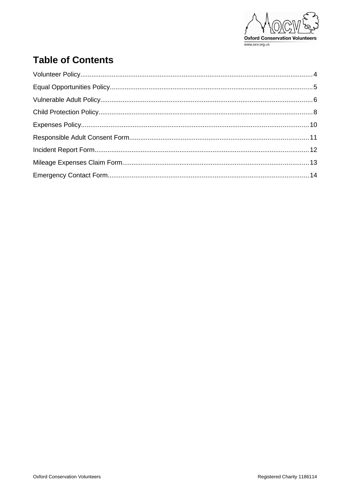

### **Table of Contents**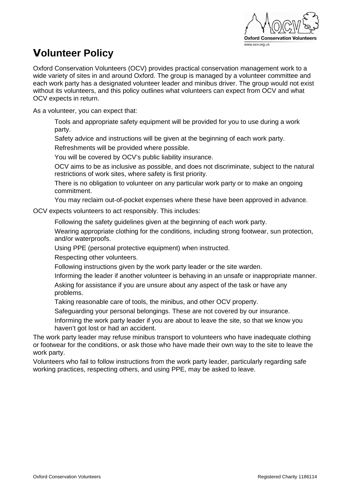

# <span id="page-2-0"></span>**Volunteer Policy**

Oxford Conservation Volunteers (OCV) provides practical conservation management work to a wide variety of sites in and around Oxford. The group is managed by a volunteer committee and each work party has a designated volunteer leader and minibus driver. The group would not exist without its volunteers, and this policy outlines what volunteers can expect from OCV and what OCV expects in return.

As a volunteer, you can expect that:

Tools and appropriate safety equipment will be provided for you to use during a work party.

Safety advice and instructions will be given at the beginning of each work party.

Refreshments will be provided where possible.

You will be covered by OCV's public liability insurance.

OCV aims to be as inclusive as possible, and does not discriminate, subject to the natural restrictions of work sites, where safety is first priority.

There is no obligation to volunteer on any particular work party or to make an ongoing commitment.

You may reclaim out-of-pocket expenses where these have been approved in advance.

OCV expects volunteers to act responsibly. This includes:

Following the safety guidelines given at the beginning of each work party.

Wearing appropriate clothing for the conditions, including strong footwear, sun protection, and/or waterproofs.

Using PPE (personal protective equipment) when instructed.

Respecting other volunteers.

Following instructions given by the work party leader or the site warden.

Informing the leader if another volunteer is behaving in an unsafe or inappropriate manner. Asking for assistance if you are unsure about any aspect of the task or have any problems.

Taking reasonable care of tools, the minibus, and other OCV property.

Safeguarding your personal belongings. These are not covered by our insurance.

Informing the work party leader if you are about to leave the site, so that we know you haven't got lost or had an accident.

The work party leader may refuse minibus transport to volunteers who have inadequate clothing or footwear for the conditions, or ask those who have made their own way to the site to leave the work party.

Volunteers who fail to follow instructions from the work party leader, particularly regarding safe working practices, respecting others, and using PPE, may be asked to leave.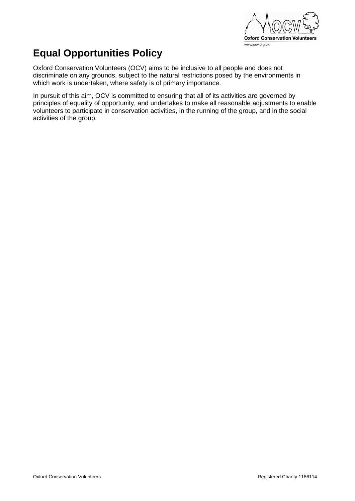

# <span id="page-3-0"></span>**Equal Opportunities Policy**

Oxford Conservation Volunteers (OCV) aims to be inclusive to all people and does not discriminate on any grounds, subject to the natural restrictions posed by the environments in which work is undertaken, where safety is of primary importance.

In pursuit of this aim, OCV is committed to ensuring that all of its activities are governed by principles of equality of opportunity, and undertakes to make all reasonable adjustments to enable volunteers to participate in conservation activities, in the running of the group, and in the social activities of the group.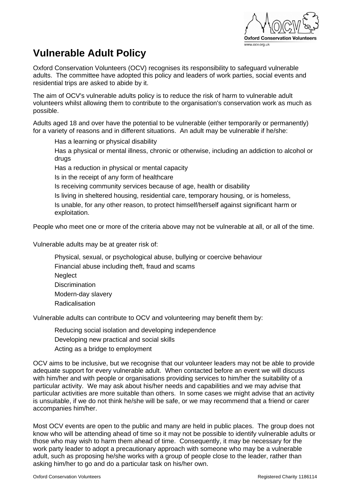

## <span id="page-4-0"></span>**Vulnerable Adult Policy**

Oxford Conservation Volunteers (OCV) recognises its responsibility to safeguard vulnerable adults. The committee have adopted this policy and leaders of work parties, social events and residential trips are asked to abide by it.

The aim of OCV's vulnerable adults policy is to reduce the risk of harm to vulnerable adult volunteers whilst allowing them to contribute to the organisation's conservation work as much as possible.

Adults aged 18 and over have the potential to be vulnerable (either temporarily or permanently) for a variety of reasons and in different situations. An adult may be vulnerable if he/she:

Has a learning or physical disability

Has a physical or mental illness, chronic or otherwise, including an addiction to alcohol or drugs

Has a reduction in physical or mental capacity

Is in the receipt of any form of healthcare

Is receiving community services because of age, health or disability

Is living in sheltered housing, residential care, temporary housing, or is homeless,

Is unable, for any other reason, to protect himself/herself against significant harm or exploitation.

People who meet one or more of the criteria above may not be vulnerable at all, or all of the time.

Vulnerable adults may be at greater risk of:

Physical, sexual, or psychological abuse, bullying or coercive behaviour Financial abuse including theft, fraud and scams **Neglect Discrimination** Modern-day slavery Radicalisation

Vulnerable adults can contribute to OCV and volunteering may benefit them by:

Reducing social isolation and developing independence Developing new practical and social skills Acting as a bridge to employment

OCV aims to be inclusive, but we recognise that our volunteer leaders may not be able to provide adequate support for every vulnerable adult. When contacted before an event we will discuss with him/her and with people or organisations providing services to him/her the suitability of a particular activity. We may ask about his/her needs and capabilities and we may advise that particular activities are more suitable than others. In some cases we might advise that an activity is unsuitable, if we do not think he/she will be safe, or we may recommend that a friend or carer accompanies him/her.

Most OCV events are open to the public and many are held in public places. The group does not know who will be attending ahead of time so it may not be possible to identify vulnerable adults or those who may wish to harm them ahead of time. Consequently, it may be necessary for the work party leader to adopt a precautionary approach with someone who may be a vulnerable adult, such as proposing he/she works with a group of people close to the leader, rather than asking him/her to go and do a particular task on his/her own.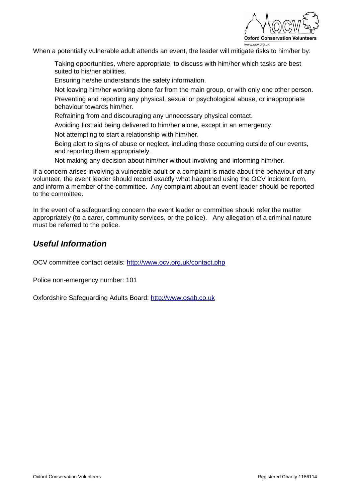

When a potentially vulnerable adult attends an event, the leader will mitigate risks to him/her by:

Taking opportunities, where appropriate, to discuss with him/her which tasks are best suited to his/her abilities.

Ensuring he/she understands the safety information.

Not leaving him/her working alone far from the main group, or with only one other person. Preventing and reporting any physical, sexual or psychological abuse, or inappropriate behaviour towards him/her.

Refraining from and discouraging any unnecessary physical contact.

Avoiding first aid being delivered to him/her alone, except in an emergency.

Not attempting to start a relationship with him/her.

Being alert to signs of abuse or neglect, including those occurring outside of our events, and reporting them appropriately.

Not making any decision about him/her without involving and informing him/her.

If a concern arises involving a vulnerable adult or a complaint is made about the behaviour of any volunteer, the event leader should record exactly what happened using the OCV incident form, and inform a member of the committee. Any complaint about an event leader should be reported to the committee.

In the event of a safeguarding concern the event leader or committee should refer the matter appropriately (to a carer, community services, or the police). Any allegation of a criminal nature must be referred to the police.

#### *Useful Information*

OCV committee contact details: <http://www.ocv.org.uk/contact.php>

Police non-emergency number: 101

Oxfordshire Safeguarding Adults Board: [http://www.osab.co.uk](http://www.osab.co.uk/)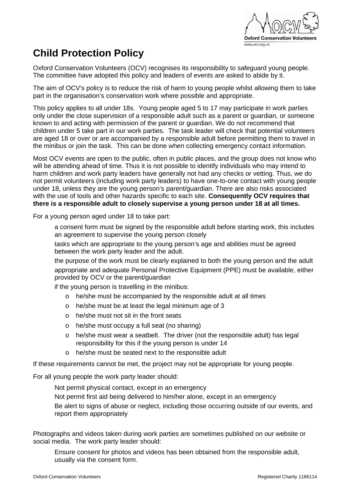

# <span id="page-6-0"></span>**Child Protection Policy**

Oxford Conservation Volunteers (OCV) recognises its responsibility to safeguard young people. The committee have adopted this policy and leaders of events are asked to abide by it.

The aim of OCV's policy is to reduce the risk of harm to young people whilst allowing them to take part in the organisation's conservation work where possible and appropriate.

This policy applies to all under 18s. Young people aged 5 to 17 may participate in work parties only under the close supervision of a responsible adult such as a parent or guardian, or someone known to and acting with permission of the parent or guardian. We do not recommend that children under 5 take part in our work parties. The task leader will check that potential volunteers are aged 18 or over or are accompanied by a responsible adult before permitting them to travel in the minibus or join the task. This can be done when collecting emergency contact information.

Most OCV events are open to the public, often in public places, and the group does not know who will be attending ahead of time. Thus it is not possible to identify individuals who may intend to harm children and work party leaders have generally not had any checks or vetting. Thus, we do not permit volunteers (including work party leaders) to have one-to-one contact with young people under 18, unless they are the young person's parent/guardian. There are also risks associated with the use of tools and other hazards specific to each site. **Consequently OCV requires that there is a responsible adult to closely supervise a young person under 18 at all times.** 

For a young person aged under 18 to take part:

a consent form must be signed by the responsible adult before starting work, this includes an agreement to supervise the young person closely

tasks which are appropriate to the young person's age and abilities must be agreed between the work party leader and the adult.

the purpose of the work must be clearly explained to both the young person and the adult appropriate and adequate Personal Protective Equipment (PPE) must be available, either provided by OCV or the parent/guardian

if the young person is travelling in the minibus:

- o he/she must be accompanied by the responsible adult at all times
- o he/she must be at least the legal minimum age of 3
- o he/she must not sit in the front seats
- o he/she must occupy a full seat (no sharing)
- o he/she must wear a seatbelt. The driver (not the responsible adult) has legal responsibility for this if the young person is under 14
- o he/she must be seated next to the responsible adult

If these requirements cannot be met, the project may not be appropriate for young people.

For all young people the work party leader should:

Not permit physical contact, except in an emergency

Not permit first aid being delivered to him/her alone, except in an emergency

Be alert to signs of abuse or neglect, including those occurring outside of our events, and report them appropriately

Photographs and videos taken during work parties are sometimes published on our website or social media. The work party leader should:

Ensure consent for photos and videos has been obtained from the responsible adult, usually via the consent form.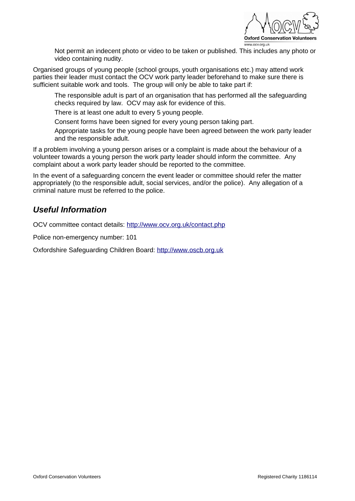

Not permit an indecent photo or video to be taken or published. This includes any photo or video containing nudity.

Organised groups of young people (school groups, youth organisations etc.) may attend work parties their leader must contact the OCV work party leader beforehand to make sure there is sufficient suitable work and tools. The group will only be able to take part if:

The responsible adult is part of an organisation that has performed all the safeguarding checks required by law. OCV may ask for evidence of this.

There is at least one adult to every 5 young people.

Consent forms have been signed for every young person taking part.

Appropriate tasks for the young people have been agreed between the work party leader and the responsible adult.

If a problem involving a young person arises or a complaint is made about the behaviour of a volunteer towards a young person the work party leader should inform the committee. Any complaint about a work party leader should be reported to the committee.

In the event of a safeguarding concern the event leader or committee should refer the matter appropriately (to the responsible adult, social services, and/or the police). Any allegation of a criminal nature must be referred to the police.

#### *Useful Information*

OCV committee contact details: <http://www.ocv.org.uk/contact.php>

Police non-emergency number: 101

Oxfordshire Safeguarding Children Board: [http://www.oscb.org.uk](http://www.oscb.org.uk/)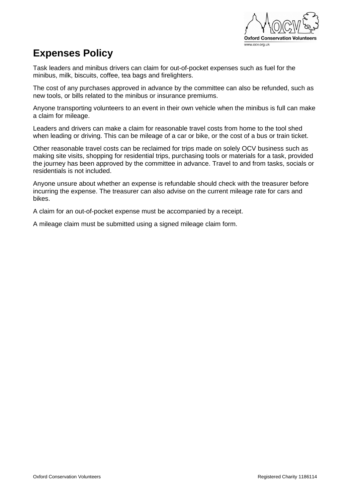

#### <span id="page-8-0"></span>**Expenses Policy**

Task leaders and minibus drivers can claim for out-of-pocket expenses such as fuel for the minibus, milk, biscuits, coffee, tea bags and firelighters.

The cost of any purchases approved in advance by the committee can also be refunded, such as new tools, or bills related to the minibus or insurance premiums.

Anyone transporting volunteers to an event in their own vehicle when the minibus is full can make a claim for mileage.

Leaders and drivers can make a claim for reasonable travel costs from home to the tool shed when leading or driving. This can be mileage of a car or bike, or the cost of a bus or train ticket.

Other reasonable travel costs can be reclaimed for trips made on solely OCV business such as making site visits, shopping for residential trips, purchasing tools or materials for a task, provided the journey has been approved by the committee in advance. Travel to and from tasks, socials or residentials is not included.

Anyone unsure about whether an expense is refundable should check with the treasurer before incurring the expense. The treasurer can also advise on the current mileage rate for cars and bikes.

A claim for an out-of-pocket expense must be accompanied by a receipt.

A mileage claim must be submitted using a signed mileage claim form.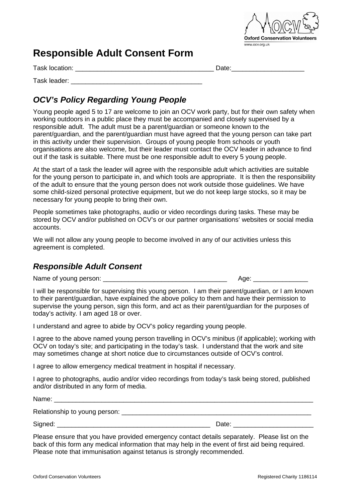

#### <span id="page-9-0"></span>**Responsible Adult Consent Form**

Task location: \_\_\_\_\_\_\_\_\_\_\_\_\_\_\_\_\_\_\_\_\_\_\_\_\_\_\_\_\_\_\_\_\_\_\_\_\_\_ Date:\_\_\_\_\_\_\_\_\_\_\_\_\_\_\_\_\_\_\_\_

Task leader: \_\_\_\_\_\_\_\_\_\_\_\_\_\_\_\_\_\_\_\_\_\_\_\_\_\_\_\_\_\_\_\_\_\_\_\_

#### *OCV's Policy Regarding Young People*

Young people aged 5 to 17 are welcome to join an OCV work party, but for their own safety when working outdoors in a public place they must be accompanied and closely supervised by a responsible adult. The adult must be a parent/guardian or someone known to the parent/guardian, and the parent/guardian must have agreed that the young person can take part in this activity under their supervision. Groups of young people from schools or youth organisations are also welcome, but their leader must contact the OCV leader in advance to find out if the task is suitable. There must be one responsible adult to every 5 young people.

At the start of a task the leader will agree with the responsible adult which activities are suitable for the young person to participate in, and which tools are appropriate. It is then the responsibility of the adult to ensure that the young person does not work outside those guidelines. We have some child-sized personal protective equipment, but we do not keep large stocks, so it may be necessary for young people to bring their own.

People sometimes take photographs, audio or video recordings during tasks. These may be stored by OCV and/or published on OCV's or our partner organisations' websites or social media accounts.

We will not allow any young people to become involved in any of our activities unless this agreement is completed.

#### *Responsible Adult Consent*

Name of young person: <br>
Name of young person:

I will be responsible for supervising this young person. I am their parent/guardian, or I am known to their parent/guardian, have explained the above policy to them and have their permission to supervise the young person, sign this form, and act as their parent/guardian for the purposes of today's activity*.* I am aged 18 or over.

I understand and agree to abide by OCV's policy regarding young people.

I agree to the above named young person travelling in OCV's minibus (if applicable); working with OCV on today's site; and participating in the today's task. I understand that the work and site may sometimes change at short notice due to circumstances outside of OCV's control.

I agree to allow emergency medical treatment in hospital if necessary.

I agree to photographs, audio and/or video recordings from today's task being stored, published and/or distributed in any form of media.

| Name:                         |       |
|-------------------------------|-------|
| Relationship to young person: |       |
| Signed:                       | Date: |

Please ensure that you have provided emergency contact details separately. Please list on the back of this form any medical information that may help in the event of first aid being required. Please note that immunisation against tetanus is strongly recommended.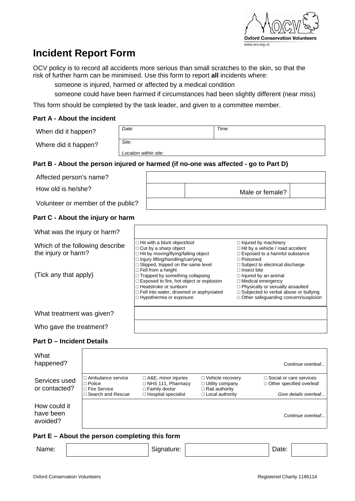

# <span id="page-10-0"></span>**Incident Report Form**

OCV policy is to record all accidents more serious than small scratches to the skin, so that the risk of further harm can be minimised. Use this form to report **all** incidents where:

someone is injured, harmed or affected by a medical condition

someone could have been harmed if circumstances had been slightly different (near miss)

This form should be completed by the task leader, and given to a committee member.

#### **Part A - About the incident**

| When did it happen?                                                                 | Date:                 |                                                                                                                                                                                                                                       |  | Time:                                                                                                                                                                                                                   |  |
|-------------------------------------------------------------------------------------|-----------------------|---------------------------------------------------------------------------------------------------------------------------------------------------------------------------------------------------------------------------------------|--|-------------------------------------------------------------------------------------------------------------------------------------------------------------------------------------------------------------------------|--|
| Where did it happen?                                                                | Site:                 |                                                                                                                                                                                                                                       |  |                                                                                                                                                                                                                         |  |
|                                                                                     | Location within site: |                                                                                                                                                                                                                                       |  |                                                                                                                                                                                                                         |  |
| Part B - About the person injured or harmed (if no-one was affected - go to Part D) |                       |                                                                                                                                                                                                                                       |  |                                                                                                                                                                                                                         |  |
| Affected person's name?                                                             |                       |                                                                                                                                                                                                                                       |  |                                                                                                                                                                                                                         |  |
| How old is he/she?                                                                  |                       |                                                                                                                                                                                                                                       |  | Male or female?                                                                                                                                                                                                         |  |
| Volunteer or member of the public?                                                  |                       |                                                                                                                                                                                                                                       |  |                                                                                                                                                                                                                         |  |
| Part C - About the injury or harm                                                   |                       |                                                                                                                                                                                                                                       |  |                                                                                                                                                                                                                         |  |
| What was the injury or harm?                                                        |                       |                                                                                                                                                                                                                                       |  |                                                                                                                                                                                                                         |  |
| Which of the following describe<br>the injury or harm?                              |                       | $\Box$ Hit with a blunt object/tool<br>$\Box$ Cut by a sharp object<br>$\Box$ Hit by moving/flying/falling object<br>$\Box$ Injury lifting/handling/carrying<br>$\Box$ Slipped, tripped on the same level                             |  | $\Box$ Injured by machinery<br>$\Box$ Hit by a vehicle / road accident<br>$\Box$ Exposed to a harmful substance<br>$\Box$ Poisoned<br>$\Box$ Subject to electrical discharge                                            |  |
| (Tick any that apply)                                                               |                       | $\Box$ Fell from a height<br>□ Trapped by something collapsing<br>$\Box$ Exposed to fire, hot object or explosion<br>$\Box$ Heatstroke or sunburn<br>$\Box$ Fell into water, drowned or asphyxiated<br>$\Box$ Hypothermia or exposure |  | $\Box$ Insect bite<br>$\Box$ Injured by an animal<br>$\Box$ Medical emergency<br>$\Box$ Physically or sexually assaulted<br>$\Box$ Subjected to verbal abuse or bullying<br>$\Box$ Other safeguarding concern/suspicion |  |
| What treatment was given?                                                           |                       |                                                                                                                                                                                                                                       |  |                                                                                                                                                                                                                         |  |
| Who gave the treatment?                                                             |                       |                                                                                                                                                                                                                                       |  |                                                                                                                                                                                                                         |  |
| <b>Part D - Incident Details</b>                                                    |                       |                                                                                                                                                                                                                                       |  |                                                                                                                                                                                                                         |  |
| What                                                                                |                       |                                                                                                                                                                                                                                       |  |                                                                                                                                                                                                                         |  |

| happened?                             |                                                                   |                                                                                |                                                                       | Continue overleaf                                                 |
|---------------------------------------|-------------------------------------------------------------------|--------------------------------------------------------------------------------|-----------------------------------------------------------------------|-------------------------------------------------------------------|
| Services used<br>or contacted?        | $\Box$ Ambulance service<br>$\Box$ Police<br>$\Box$ Fire Service  | $\Box$ A&E, minor injuries<br>$\Box$ NHS 111, Pharmacy<br>$\Box$ Family doctor | □ Vehicle recovery<br>$\Box$ Utility company<br>$\Box$ Rail authority | $\Box$ Social or care services<br>$\Box$ Other specified overleaf |
|                                       | $\Box$ Search and Rescue                                          | $\Box$ Hospital specialist                                                     | $\Box$ Local authority                                                | Give details overleaf                                             |
| How could it<br>have been<br>avoided? |                                                                   |                                                                                |                                                                       | Continue overleaf                                                 |
| . <del>. .</del>                      | A la contrata de la completa de la capital de la facta de la marc |                                                                                |                                                                       |                                                                   |

#### **Part E – About the person completing this form**

Name: | Name: | Signature: | Name: | Date: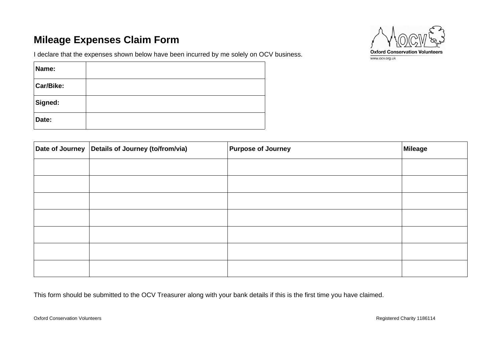### **Mileage Expenses Claim Form**

**Name:**

**Car/Bike:**

**Signed:**

I declare that the expenses shown below have been incurred by me solely on OCV business.





<span id="page-11-0"></span>

| Date: |                                                  |                           |                |
|-------|--------------------------------------------------|---------------------------|----------------|
|       | Date of Journey Details of Journey (to/from/via) | <b>Purpose of Journey</b> | <b>Mileage</b> |
|       |                                                  |                           |                |
|       |                                                  |                           |                |
|       |                                                  |                           |                |
|       |                                                  |                           |                |
|       |                                                  |                           |                |
|       |                                                  |                           |                |
|       |                                                  |                           |                |

This form should be submitted to the OCV Treasurer along with your bank details if this is the first time you have claimed.